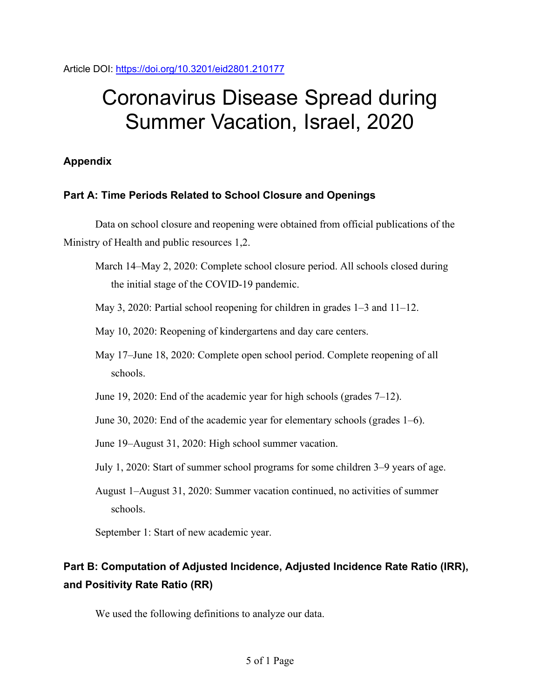Article DOI:<https://doi.org/10.3201/eid2801.210177>

# Coronavirus Disease Spread during Summer Vacation, Israel, 2020

# **Appendix**

## **Part A: Time Periods Related to School Closure and Openings**

Data on school closure and reopening were obtained from official publications of the Ministry of Health and public resources 1,2.

- March 14–May 2, 2020: Complete school closure period. All schools closed during the initial stage of the COVID-19 pandemic.
- May 3, 2020: Partial school reopening for children in grades 1–3 and 11–12.
- May 10, 2020: Reopening of kindergartens and day care centers.
- May 17–June 18, 2020: Complete open school period. Complete reopening of all schools.
- June 19, 2020: End of the academic year for high schools (grades 7–12).
- June 30, 2020: End of the academic year for elementary schools (grades 1–6).
- June 19–August 31, 2020: High school summer vacation.
- July 1, 2020: Start of summer school programs for some children 3–9 years of age.
- August 1–August 31, 2020: Summer vacation continued, no activities of summer schools.

September 1: Start of new academic year.

# **Part B: Computation of Adjusted Incidence, Adjusted Incidence Rate Ratio (IRR), and Positivity Rate Ratio (RR)**

We used the following definitions to analyze our data.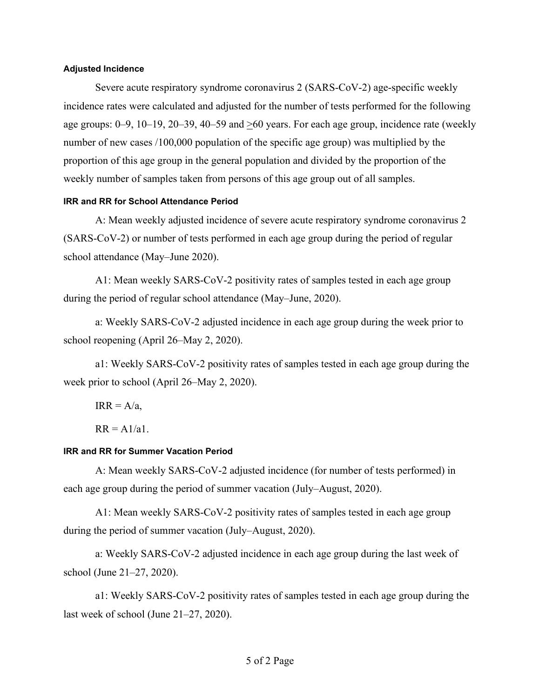#### **Adjusted Incidence**

Severe acute respiratory syndrome coronavirus 2 (SARS-CoV-2) age-specific weekly incidence rates were calculated and adjusted for the number of tests performed for the following age groups: 0–9, 10–19, 20–39, 40–59 and >60 years. For each age group, incidence rate (weekly number of new cases /100,000 population of the specific age group) was multiplied by the proportion of this age group in the general population and divided by the proportion of the weekly number of samples taken from persons of this age group out of all samples.

#### **IRR and RR for School Attendance Period**

A: Mean weekly adjusted incidence of severe acute respiratory syndrome coronavirus 2 (SARS-CoV-2) or number of tests performed in each age group during the period of regular school attendance (May–June 2020).

A1: Mean weekly SARS-CoV-2 positivity rates of samples tested in each age group during the period of regular school attendance (May–June, 2020).

a: Weekly SARS-CoV-2 adjusted incidence in each age group during the week prior to school reopening (April 26–May 2, 2020).

a1: Weekly SARS-CoV-2 positivity rates of samples tested in each age group during the week prior to school (April 26–May 2, 2020).

 $IRR = A/a$ ,

 $RR = A1/a1$ .

#### **IRR and RR for Summer Vacation Period**

A: Mean weekly SARS-CoV-2 adjusted incidence (for number of tests performed) in each age group during the period of summer vacation (July–August, 2020).

A1: Mean weekly SARS-CoV-2 positivity rates of samples tested in each age group during the period of summer vacation (July–August, 2020).

a: Weekly SARS-CoV-2 adjusted incidence in each age group during the last week of school (June 21–27, 2020).

a1: Weekly SARS-CoV-2 positivity rates of samples tested in each age group during the last week of school (June 21–27, 2020).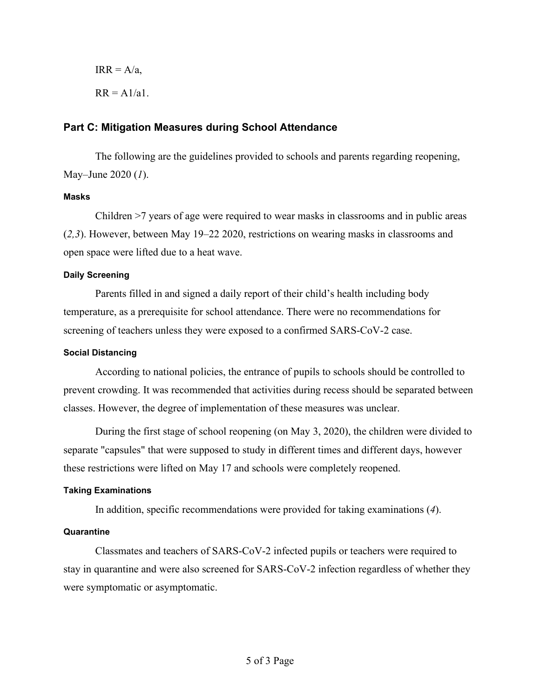$IRR = A/a$ ,  $RR = A1/a1$ .

#### **Part C: Mitigation Measures during School Attendance**

The following are the guidelines provided to schools and parents regarding reopening, May–June 2020 (*1*).

#### **Masks**

Children >7 years of age were required to wear masks in classrooms and in public areas (*2,3*). However, between May 19–22 2020, restrictions on wearing masks in classrooms and open space were lifted due to a heat wave.

#### **Daily Screening**

Parents filled in and signed a daily report of their child's health including body temperature, as a prerequisite for school attendance. There were no recommendations for screening of teachers unless they were exposed to a confirmed SARS-CoV-2 case.

#### **Social Distancing**

According to national policies, the entrance of pupils to schools should be controlled to prevent crowding. It was recommended that activities during recess should be separated between classes. However, the degree of implementation of these measures was unclear.

During the first stage of school reopening (on May 3, 2020), the children were divided to separate "capsules" that were supposed to study in different times and different days, however these restrictions were lifted on May 17 and schools were completely reopened.

#### **Taking Examinations**

In addition, specific recommendations were provided for taking examinations (*4*).

#### **Quarantine**

Classmates and teachers of SARS-CoV-2 infected pupils or teachers were required to stay in quarantine and were also screened for SARS-CoV-2 infection regardless of whether they were symptomatic or asymptomatic.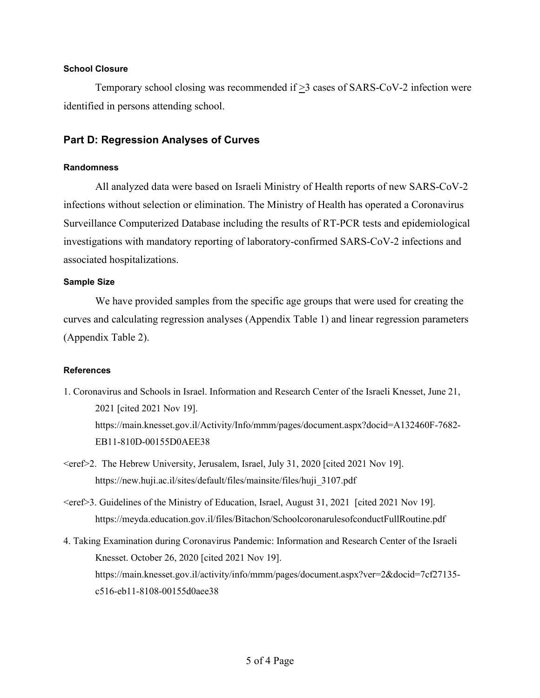#### **School Closure**

Temporary school closing was recommended if >3 cases of SARS-CoV-2 infection were identified in persons attending school.

### **Part D: Regression Analyses of Curves**

#### **Randomness**

All analyzed data were based on Israeli Ministry of Health reports of new SARS-CoV-2 infections without selection or elimination. The Ministry of Health has operated a Coronavirus Surveillance Computerized Database including the results of RT-PCR tests and epidemiological investigations with mandatory reporting of laboratory-confirmed SARS-CoV-2 infections and associated hospitalizations.

#### **Sample Size**

We have provided samples from the specific age groups that were used for creating the curves and calculating regression analyses (Appendix Table 1) and linear regression parameters (Appendix Table 2).

#### **References**

- 1. Coronavirus and Schools in Israel. Information and Research Center of the Israeli Knesset, June 21, 2021 [cited 2021 Nov 19]. https://main.knesset.gov.il/Activity/Info/mmm/pages/document.aspx?docid=A132460F-7682- EB11-810D-00155D0AEE38
- <eref>2. The Hebrew University, Jerusalem, Israel, July 31, 2020 [cited 2021 Nov 19]. https://new.huji.ac.il/sites/default/files/mainsite/files/huji\_3107.pdf
- $\epsilon$  <eref>3. Guidelines of the Ministry of Education, Israel, August 31, 2021 [cited 2021 Nov 19]. https://meyda.education.gov.il/files/Bitachon/SchoolcoronarulesofconductFullRoutine.pdf
- 4. Taking Examination during Coronavirus Pandemic: Information and Research Center of the Israeli Knesset. October 26, 2020 [cited 2021 Nov 19]. https://main.knesset.gov.il/activity/info/mmm/pages/document.aspx?ver=2&docid=7cf27135c516-eb11-8108-00155d0aee38